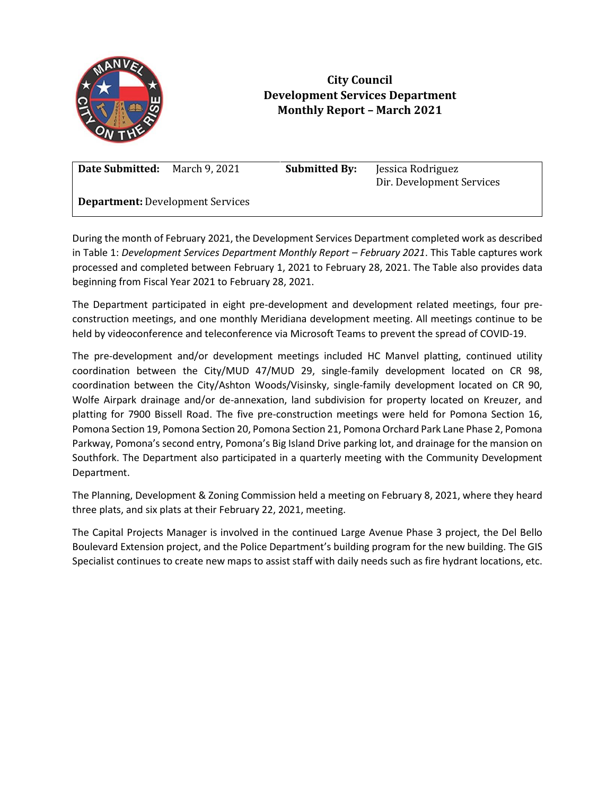

## **City Council Development Services Department Monthly Report – March 2021**

**Date Submitted:** March 9, 2021 **Submitted By:** Jessica Rodriguez

Dir. Development Services

**Department:** Development Services

During the month of February 2021, the Development Services Department completed work as described in Table 1: *Development Services Department Monthly Report - February 2021. This Table captures work* processed and completed between February 1, 2021 to February 28, 2021. The Table also provides data beginning from Fiscal Year 2021 to February 28, 2021.

The Department participated in eight pre-development and development related meetings, four preconstruction meetings, and one monthly Meridiana development meeting. All meetings continue to be held by videoconference and teleconference via Microsoft Teams to prevent the spread of COVID-19.

The pre-development and/or development meetings included HC Manvel platting, continued utility coordination between the City/MUD 47/MUD 29, single-family development located on CR 98, coordination between the City/Ashton Woods/Visinsky, single-family development located on CR 90, Wolfe Airpark drainage and/or de-annexation, land subdivision for property located on Kreuzer, and platting for 7900 Bissell Road. The five pre-construction meetings were held for Pomona Section 16, Pomona Section 19, Pomona Section 20, Pomona Section 21, Pomona Orchard Park Lane Phase 2, Pomona Parkway, Pomona's second entry, Pomona's Big Island Drive parking lot, and drainage for the mansion on Southfork. The Department also participated in a quarterly meeting with the Community Development Department.

The Planning, Development & Zoning Commission held a meeting on February 8, 2021, where they heard three plats, and six plats at their February 22, 2021, meeting.

The Capital Projects Manager is involved in the continued Large Avenue Phase 3 project, the Del Bello Boulevard Extension project, and the Police Department's building program for the new building. The GIS Specialist continues to create new maps to assist staff with daily needs such as fire hydrant locations, etc.